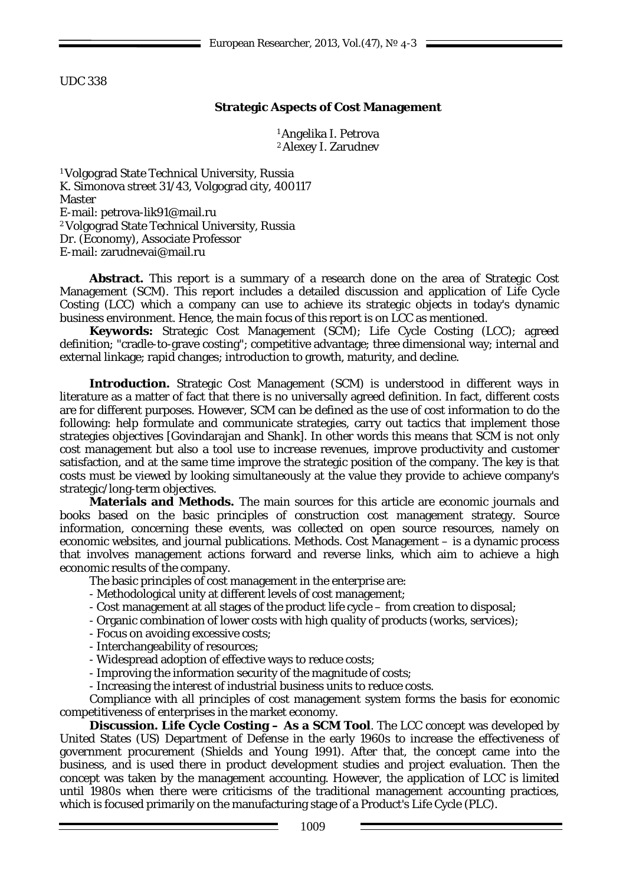UDC 338

## **Strategic Aspects of Cost Management**

1Angelika I. Petrova 2Alexey I. Zarudnev

1Volgograd State Technical University, Russia K. Simonova street 31/43, Volgograd city, 400117 Master E-mail: [petrova-lik91@mail.ru](mailto:petrova-lik91@mail.ru) 2Volgograd State Technical University, Russia Dr. (Economy), Associate Professor E-mail: zarudnevai@mail.ru

**Abstract.** This report is a summary of a research done on the area of Strategic Cost Management (SCM). This report includes a detailed discussion and application of Life Cycle Costing (LCC) which a company can use to achieve its strategic objects in today's dynamic business environment. Hence, the main focus of this report is on LCC as mentioned.

**Keywords:** Strategic Cost Management (SCM); Life Cycle Costing (LCC); agreed definition; "cradle-to-grave costing"; competitive advantage; three dimensional way; internal and external linkage; rapid changes; introduction to growth, maturity, and decline.

**Introduction.** Strategic Cost Management (SCM) is understood in different ways in literature as a matter of fact that there is no universally agreed definition. In fact, different costs are for different purposes. However, SCM can be defined as the use of cost information to do the following: help formulate and communicate strategies, carry out tactics that implement those strategies objectives [Govindarajan and Shank]. In other words this means that SCM is not only cost management but also a tool use to increase revenues, improve productivity and customer satisfaction, and at the same time improve the strategic position of the company. The key is that costs must be viewed by looking simultaneously at the value they provide to achieve company's strategic/long-term objectives.

**Materials and Methods.** The main sources for this article are economic journals and books based on the basic principles of construction cost management strategy. Source information, concerning these events, was collected on open source resources, namely on economic websites, and journal publications. Methods. Cost Management – is a dynamic process that involves management actions forward and reverse links, which aim to achieve a high economic results of the company.

The basic principles of cost management in the enterprise are:

- Methodological unity at different levels of cost management;

- Cost management at all stages of the product life cycle from creation to disposal;
- Organic combination of lower costs with high quality of products (works, services);

- Focus on avoiding excessive costs;

- Interchangeability of resources;

- Widespread adoption of effective ways to reduce costs;

- Improving the information security of the magnitude of costs;

- Increasing the interest of industrial business units to reduce costs.

Compliance with all principles of cost management system forms the basis for economic competitiveness of enterprises in the market economy.

**Discussion. Life Cycle Costing – As a SCM Tool***.* The LCC concept was developed by United States (US) Department of Defense in the early 1960s to increase the effectiveness of government procurement (Shields and Young 1991). After that, the concept came into the business, and is used there in product development studies and project evaluation. Then the concept was taken by the management accounting. However, the application of LCC is limited until 1980s when there were criticisms of the traditional management accounting practices, which is focused primarily on the manufacturing stage of a Product's Life Cycle (PLC).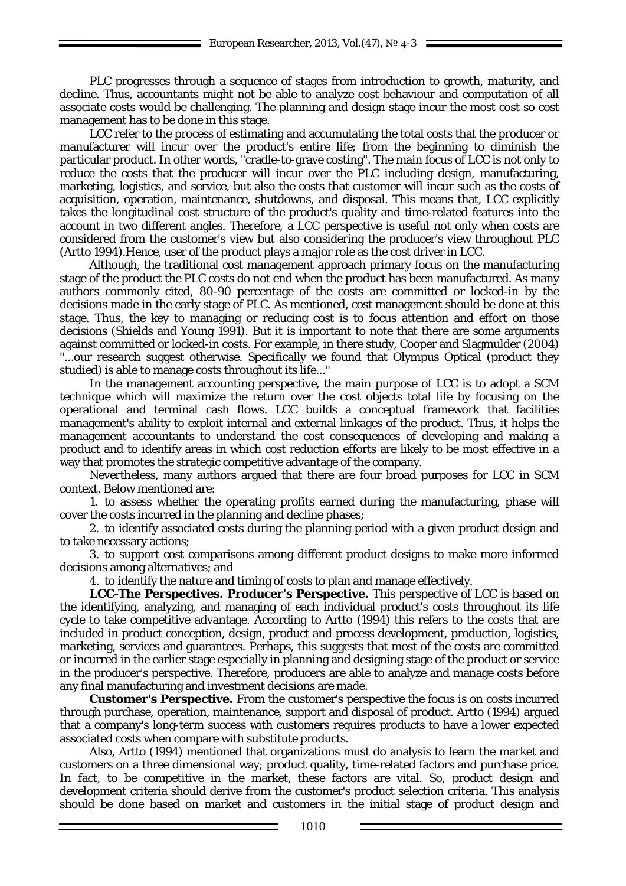PLC progresses through a sequence of stages from introduction to growth, maturity, and decline. Thus, accountants might not be able to analyze cost behaviour and computation of all associate costs would be challenging. The planning and design stage incur the most cost so cost management has to be done in this stage.

LCC refer to the process of estimating and accumulating the total costs that the producer or manufacturer will incur over the product's entire life; from the beginning to diminish the particular product. In other words, "cradle-to-grave costing". The main focus of LCC is not only to reduce the costs that the producer will incur over the PLC including design, manufacturing, marketing, logistics, and service, but also the costs that customer will incur such as the costs of acquisition, operation, maintenance, shutdowns, and disposal. This means that, LCC explicitly takes the longitudinal cost structure of the product's quality and time-related features into the account in two different angles. Therefore, a LCC perspective is useful not only when costs are considered from the customer's view but also considering the producer's view throughout PLC (Artto 1994).Hence, user of the product plays a major role as the cost driver in LCC.

Although, the traditional cost management approach primary focus on the manufacturing stage of the product the PLC costs do not end when the product has been manufactured. As many authors commonly cited, 80-90 percentage of the costs are committed or locked-in by the decisions made in the early stage of PLC. As mentioned, cost management should be done at this stage. Thus, the key to managing or reducing cost is to focus attention and effort on those decisions (Shields and Young 1991). But it is important to note that there are some arguments against committed or locked-in costs. For example, in there study, Cooper and Slagmulder (2004) "...our research suggest otherwise. Specifically we found that Olympus Optical (product they studied) is able to manage costs throughout its life..."

In the management accounting perspective, the main purpose of LCC is to adopt a SCM technique which will maximize the return over the cost objects total life by focusing on the operational and terminal cash flows. LCC builds a conceptual framework that facilities management's ability to exploit internal and external linkages of the product. Thus, it helps the management accountants to understand the cost consequences of developing and making a product and to identify areas in which cost reduction efforts are likely to be most effective in a way that promotes the strategic competitive advantage of the company.

Nevertheless, many authors argued that there are four broad purposes for LCC in SCM context. Below mentioned are:

1. to assess whether the operating profits earned during the manufacturing, phase will cover the costs incurred in the planning and decline phases;

2. to identify associated costs during the planning period with a given product design and to take necessary actions;

3. to support cost comparisons among different product designs to make more informed decisions among alternatives; and

4. to identify the nature and timing of costs to plan and manage effectively.

**LCC-The Perspectives. Producer's Perspective.** This perspective of LCC is based on the identifying, analyzing, and managing of each individual product's costs throughout its life cycle to take competitive advantage. According to Artto (1994) this refers to the costs that are included in product conception, design, product and process development, production, logistics, marketing, services and guarantees. Perhaps, this suggests that most of the costs are committed or incurred in the earlier stage especially in planning and designing stage of the product or service in the producer's perspective. Therefore, producers are able to analyze and manage costs before any final manufacturing and investment decisions are made.

**Customer's Perspective.** From the customer's perspective the focus is on costs incurred through purchase, operation, maintenance, support and disposal of product. Artto (1994) argued that a company's long-term success with customers requires products to have a lower expected associated costs when compare with substitute products.

Also, Artto (1994) mentioned that organizations must do analysis to learn the market and customers on a three dimensional way; product quality, time-related factors and purchase price. In fact, to be competitive in the market, these factors are vital. So, product design and development criteria should derive from the customer's product selection criteria. This analysis should be done based on market and customers in the initial stage of product design and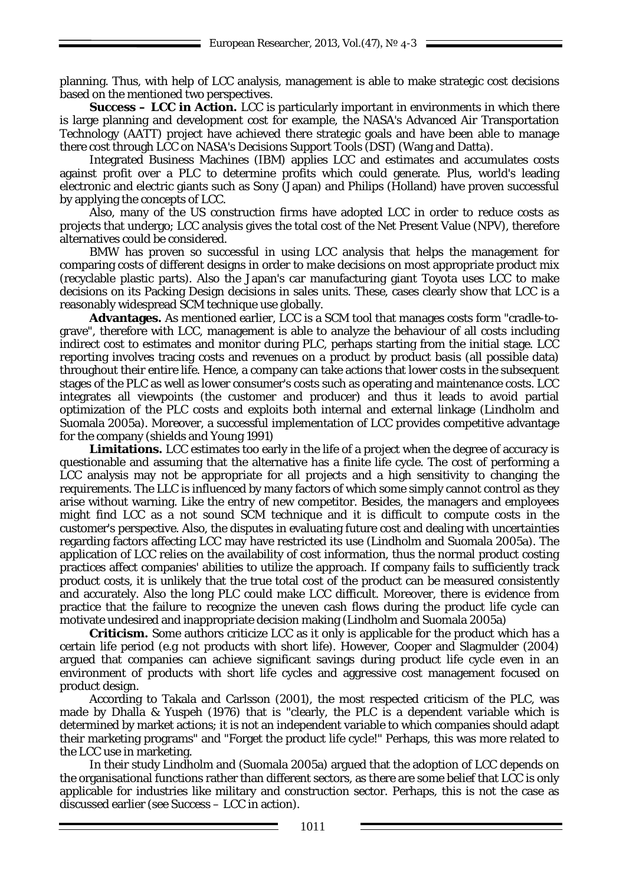planning. Thus, with help of LCC analysis, management is able to make strategic cost decisions based on the mentioned two perspectives.

**Success – LCC in Action.** LCC is particularly important in environments in which there is large planning and development cost for example, the NASA's Advanced Air Transportation Technology (AATT) project have achieved there strategic goals and have been able to manage there cost through LCC on NASA's Decisions Support Tools (DST) (Wang and Datta).

Integrated Business Machines (IBM) applies LCC and estimates and accumulates costs against profit over a PLC to determine profits which could generate. Plus, world's leading electronic and electric giants such as Sony (Japan) and Philips (Holland) have proven successful by applying the concepts of LCC.

Also, many of the US construction firms have adopted LCC in order to reduce costs as projects that undergo; LCC analysis gives the total cost of the Net Present Value (NPV), therefore alternatives could be considered.

BMW has proven so successful in using LCC analysis that helps the management for comparing costs of different designs in order to make decisions on most appropriate product mix (recyclable plastic parts). Also the Japan's car manufacturing giant Toyota uses LCC to make decisions on its Packing Design decisions in sales units. These, cases clearly show that LCC is a reasonably widespread SCM technique use globally.

**Advantages.** As mentioned earlier, LCC is a SCM tool that manages costs form "cradle-tograve", therefore with LCC, management is able to analyze the behaviour of all costs including indirect cost to estimates and monitor during PLC, perhaps starting from the initial stage. LCC reporting involves tracing costs and revenues on a product by product basis (all possible data) throughout their entire life. Hence, a company can take actions that lower costs in the subsequent stages of the PLC as well as lower consumer's costs such as operating and maintenance costs. LCC integrates all viewpoints (the customer and producer) and thus it leads to avoid partial optimization of the PLC costs and exploits both internal and external linkage (Lindholm and Suomala 2005a). Moreover, a successful implementation of LCC provides competitive advantage for the company (shields and Young 1991)

**Limitations.** LCC estimates too early in the life of a project when the degree of accuracy is questionable and assuming that the alternative has a finite life cycle. The cost of performing a LCC analysis may not be appropriate for all projects and a high sensitivity to changing the requirements. The LLC is influenced by many factors of which some simply cannot control as they arise without warning. Like the entry of new competitor. Besides, the managers and employees might find LCC as a not sound SCM technique and it is difficult to compute costs in the customer's perspective. Also, the disputes in evaluating future cost and dealing with uncertainties regarding factors affecting LCC may have restricted its use (Lindholm and Suomala 2005a). The application of LCC relies on the availability of cost information, thus the normal product costing practices affect companies' abilities to utilize the approach. If company fails to sufficiently track product costs, it is unlikely that the true total cost of the product can be measured consistently and accurately. Also the long PLC could make LCC difficult. Moreover, there is evidence from practice that the failure to recognize the uneven cash flows during the product life cycle can motivate undesired and inappropriate decision making (Lindholm and Suomala 2005a)

**Criticism.** Some authors criticize LCC as it only is applicable for the product which has a certain life period (e.g not products with short life). However, Cooper and Slagmulder (2004) argued that companies can achieve significant savings during product life cycle even in an environment of products with short life cycles and aggressive cost management focused on product design.

According to Takala and Carlsson (2001), the most respected criticism of the PLC, was made by Dhalla & Yuspeh (1976) that is "clearly, the PLC is a dependent variable which is determined by market actions; it is not an independent variable to which companies should adapt their marketing programs" and "Forget the product life cycle!" Perhaps, this was more related to the LCC use in marketing.

In their study Lindholm and (Suomala 2005a) argued that the adoption of LCC depends on the organisational functions rather than different sectors, as there are some belief that LCC is only applicable for industries like military and construction sector. Perhaps, this is not the case as discussed earlier (see Success – LCC in action).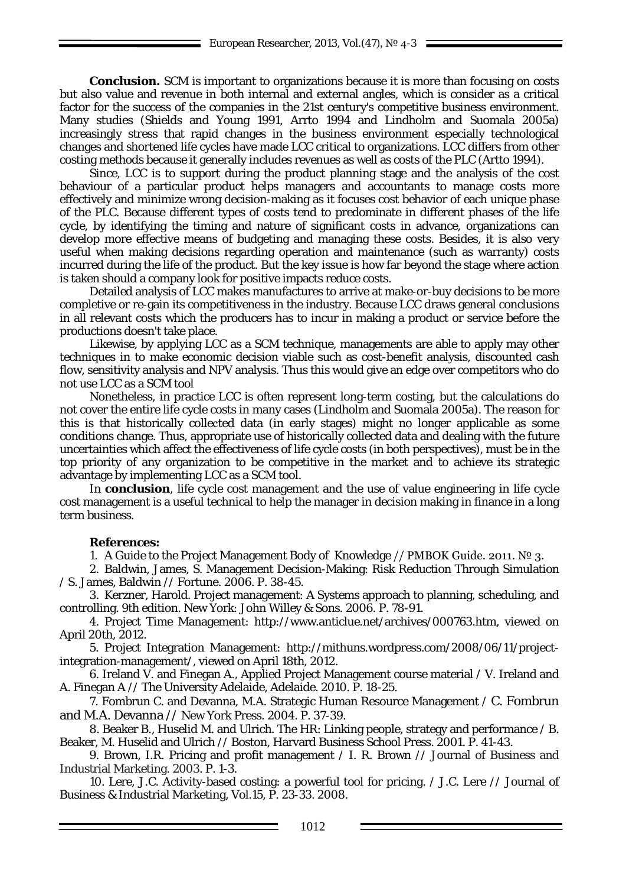**Conclusion.** SCM is important to organizations because it is more than focusing on costs but also value and revenue in both internal and external angles, which is consider as a critical factor for the success of the companies in the 21st century's competitive business environment. Many studies (Shields and Young 1991, Arrto 1994 and Lindholm and Suomala 2005a) increasingly stress that rapid changes in the business environment especially technological changes and shortened life cycles have made LCC critical to organizations. LCC differs from other costing methods because it generally includes revenues as well as costs of the PLC (Artto 1994).

Since, LCC is to support during the product planning stage and the analysis of the cost behaviour of a particular product helps managers and accountants to manage costs more effectively and minimize wrong decision-making as it focuses cost behavior of each unique phase of the PLC. Because different types of costs tend to predominate in different phases of the life cycle, by identifying the timing and nature of significant costs in advance, organizations can develop more effective means of budgeting and managing these costs. Besides, it is also very useful when making decisions regarding operation and maintenance (such as warranty) costs incurred during the life of the product. But the key issue is how far beyond the stage where action is taken should a company look for positive impacts reduce costs.

Detailed analysis of LCC makes manufactures to arrive at make-or-buy decisions to be more completive or re-gain its competitiveness in the industry. Because LCC draws general conclusions in all relevant costs which the producers has to incur in making a product or service before the productions doesn't take place.

Likewise, by applying LCC as a SCM technique, managements are able to apply may other techniques in to make economic decision viable such as cost-benefit analysis, discounted cash flow, sensitivity analysis and NPV analysis. Thus this would give an edge over competitors who do not use LCC as a SCM tool

Nonetheless, in practice LCC is often represent long-term costing, but the calculations do not cover the entire life cycle costs in many cases (Lindholm and Suomala 2005a). The reason for this is that historically colleсted data (in early stages) might no longer applicable as some conditions change. Thus, appropriate use of historically collected data and dealing with the future uncertainties which affect the effectiveness of life cycle costs (in both perspectives), must be in the top priority of any organization to be competitive in the market and to achieve its strategic advantage by implementing LCC as a SCM tool.

In **conclusion**, life cycle cost management and the use of value engineering in life cycle cost management is a useful technical to help the manager in decision making in finance in a long term business.

## **References:**

1. A Guide to the Project Management Body of Knowledge // PMBOK Guide. 2011. № 3.

2. Baldwin, James, S. Management Decision-Making: Risk Reduction Through Simulation / S. James, Baldwin // Fortune. 2006. P. 38-45.

3. Kerzner, Harold. Project management: A Systems approach to planning, scheduling, and controlling. 9th edition. New York: John Willey & Sons. 2006. P. 78-91.

4. Project Time Management: http://www.anticlue.net/archives/000763.htm, viewed on April 20th, 2012.

5. Project Integration Management: http://mithuns.wordpress.com/2008/06/11/projectintegration-management/, viewed on April 18th, 2012.

6. Ireland V. and Finegan A., Applied Project Management course material / V. Ireland and A. Finegan A // The University Adelaide, Adelaide. 2010. P. 18-25.

7. Fombrun C. and Devanna, M.A. Strategic Human Resource Management / C. Fombrun and M.A. Devanna // New York Press. 2004. P. 37-39.

8. Beaker B., Huselid M. and Ulrich. The HR: Linking people, strategy and performance / B. Beaker, M. Huselid and Ulrich // Boston, Harvard Business School Press. 2001. P. 41-43.

9. Brown, I.R. Pricing and profit management / I. R. Brown // Journal of Business and Industrial Marketing. 2003. P. 1-3.

10. Lere, J.C. Activity-based costing: a powerful tool for pricing. / J.C. Lere // Journal of Business & Industrial Marketing, Vol.15, P. 23-33. 2008.